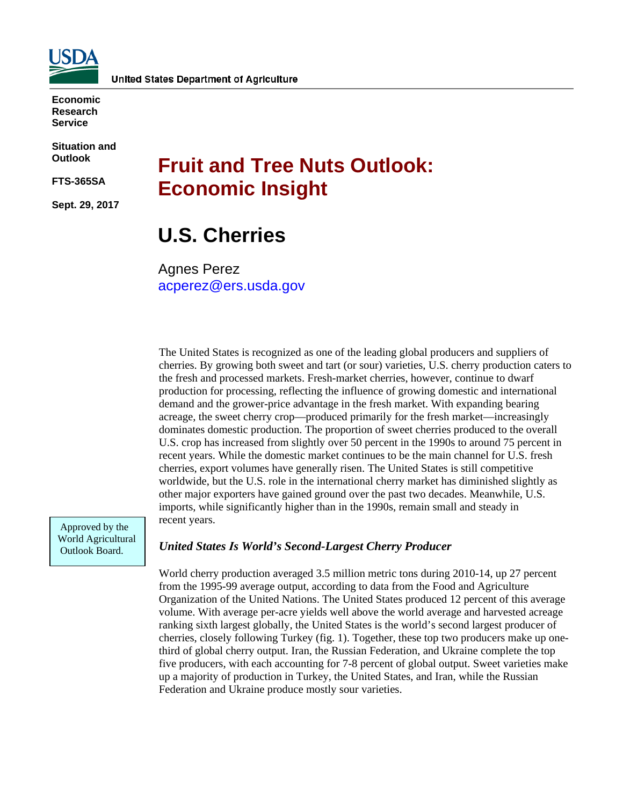

**Economic Research Service**

**Situation and Outlook** 

**FTS-365SA**

**Sept. 29, 2017** 

# **Fruit and Tree Nuts Outlook: Economic Insight**

## **U.S. Cherries**

Agnes Perez [acperez@ers.usda.gov](Mailto:acperez@ers.usda.gov)

The United States is recognized as one of the leading global producers and suppliers of cherries. By growing both sweet and tart (or sour) varieties, U.S. cherry production caters to the fresh and processed markets. Fresh-market cherries, however, continue to dwarf production for processing, reflecting the influence of growing domestic and international demand and the grower-price advantage in the fresh market. With expanding bearing acreage, the sweet cherry crop—produced primarily for the fresh market—increasingly dominates domestic production. The proportion of sweet cherries produced to the overall U.S. crop has increased from slightly over 50 percent in the 1990s to around 75 percent in recent years. While the domestic market continues to be the main channel for U.S. fresh cherries, export volumes have generally risen. The United States is still competitive worldwide, but the U.S. role in the international cherry market has diminished slightly as other major exporters have gained ground over the past two decades. Meanwhile, U.S. imports, while significantly higher than in the 1990s, remain small and steady in recent years.

Approved by the World Agricultural Outlook Board.

#### *United States Is World's Second-Largest Cherry Producer*

World cherry production averaged 3.5 million metric tons during 2010-14, up 27 percent from the 1995-99 average output, according to data from the Food and Agriculture Organization of the United Nations. The United States produced 12 percent of this average volume. With average per-acre yields well above the world average and harvested acreage ranking sixth largest globally, the United States is the world's second largest producer of cherries, closely following Turkey (fig. 1). Together, these top two producers make up onethird of global cherry output. Iran, the Russian Federation, and Ukraine complete the top five producers, with each accounting for 7-8 percent of global output. Sweet varieties make up a majority of production in Turkey, the United States, and Iran, while the Russian Federation and Ukraine produce mostly sour varieties.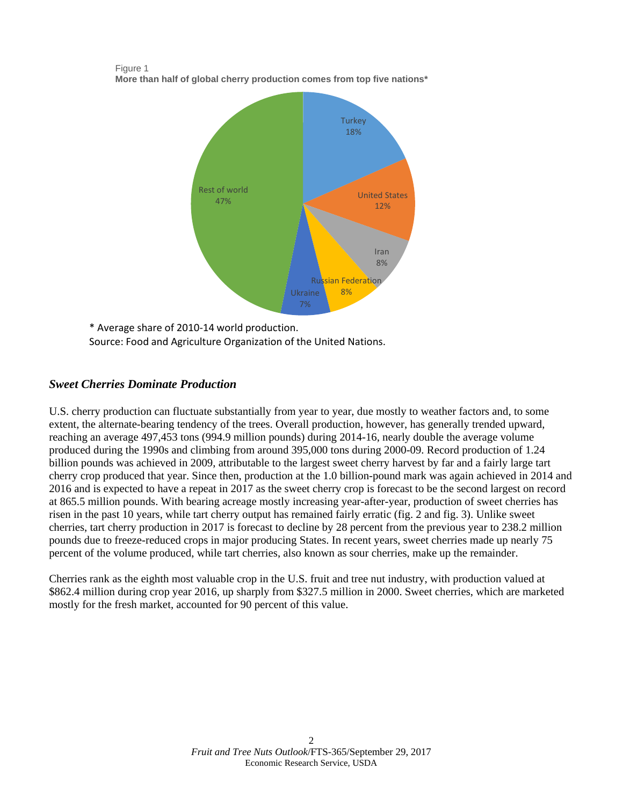

Figure 1 **More than half of global cherry production comes from top five nations\***

\* Average share of 2010-14 world production. Source: Food and Agriculture Organization of the United Nations.

## *Sweet Cherries Dominate Production*

U.S. cherry production can fluctuate substantially from year to year, due mostly to weather factors and, to some extent, the alternate-bearing tendency of the trees. Overall production, however, has generally trended upward, reaching an average 497,453 tons (994.9 million pounds) during 2014-16, nearly double the average volume produced during the 1990s and climbing from around 395,000 tons during 2000-09. Record production of 1.24 billion pounds was achieved in 2009, attributable to the largest sweet cherry harvest by far and a fairly large tart cherry crop produced that year. Since then, production at the 1.0 billion-pound mark was again achieved in 2014 and 2016 and is expected to have a repeat in 2017 as the sweet cherry crop is forecast to be the second largest on record at 865.5 million pounds. With bearing acreage mostly increasing year-after-year, production of sweet cherries has risen in the past 10 years, while tart cherry output has remained fairly erratic (fig. 2 and fig. 3). Unlike sweet cherries, tart cherry production in 2017 is forecast to decline by 28 percent from the previous year to 238.2 million pounds due to freeze-reduced crops in major producing States. In recent years, sweet cherries made up nearly 75 percent of the volume produced, while tart cherries, also known as sour cherries, make up the remainder.

Cherries rank as the eighth most valuable crop in the U.S. fruit and tree nut industry, with production valued at \$862.4 million during crop year 2016, up sharply from \$327.5 million in 2000. Sweet cherries, which are marketed mostly for the fresh market, accounted for 90 percent of this value.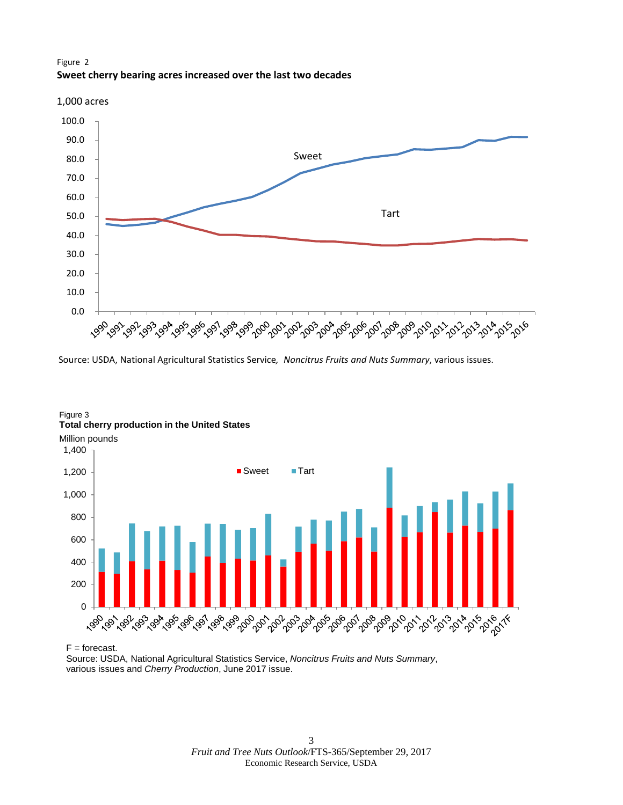



Source: USDA, National Agricultural Statistics Service*, Noncitrus Fruits and Nuts Summary*, various issues.



#### Figure 3 **Total cherry production in the United States**

 $F =$  forecast.

Source: USDA, National Agricultural Statistics Service, *Noncitrus Fruits and Nuts Summary*, various issues and *Cherry Production*, June 2017 issue.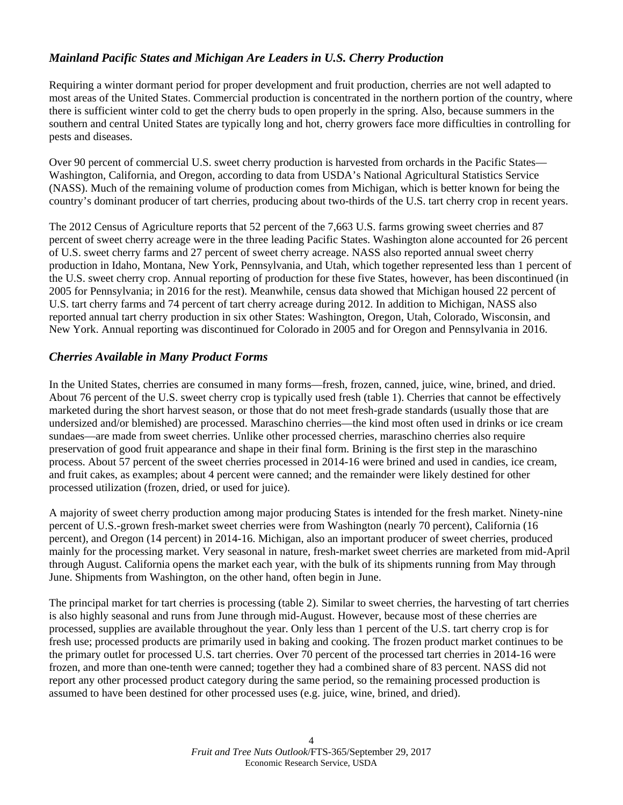## *Mainland Pacific States and Michigan Are Leaders in U.S. Cherry Production*

Requiring a winter dormant period for proper development and fruit production, cherries are not well adapted to most areas of the United States. Commercial production is concentrated in the northern portion of the country, where there is sufficient winter cold to get the cherry buds to open properly in the spring. Also, because summers in the southern and central United States are typically long and hot, cherry growers face more difficulties in controlling for pests and diseases.

Over 90 percent of commercial U.S. sweet cherry production is harvested from orchards in the Pacific States— Washington, California, and Oregon, according to data from USDA's National Agricultural Statistics Service (NASS). Much of the remaining volume of production comes from Michigan, which is better known for being the country's dominant producer of tart cherries, producing about two-thirds of the U.S. tart cherry crop in recent years.

The 2012 Census of Agriculture reports that 52 percent of the 7,663 U.S. farms growing sweet cherries and 87 percent of sweet cherry acreage were in the three leading Pacific States. Washington alone accounted for 26 percent of U.S. sweet cherry farms and 27 percent of sweet cherry acreage. NASS also reported annual sweet cherry production in Idaho, Montana, New York, Pennsylvania, and Utah, which together represented less than 1 percent of the U.S. sweet cherry crop. Annual reporting of production for these five States, however, has been discontinued (in 2005 for Pennsylvania; in 2016 for the rest). Meanwhile, census data showed that Michigan housed 22 percent of U.S. tart cherry farms and 74 percent of tart cherry acreage during 2012. In addition to Michigan, NASS also reported annual tart cherry production in six other States: Washington, Oregon, Utah, Colorado, Wisconsin, and New York. Annual reporting was discontinued for Colorado in 2005 and for Oregon and Pennsylvania in 2016.

## *Cherries Available in Many Product Forms*

In the United States, cherries are consumed in many forms—fresh, frozen, canned, juice, wine, brined, and dried. About 76 percent of the U.S. sweet cherry crop is typically used fresh (table 1). Cherries that cannot be effectively marketed during the short harvest season, or those that do not meet fresh-grade standards (usually those that are undersized and/or blemished) are processed. Maraschino cherries—the kind most often used in drinks or ice cream sundaes—are made from sweet cherries. Unlike other processed cherries, maraschino cherries also require preservation of good fruit appearance and shape in their final form. Brining is the first step in the maraschino process. About 57 percent of the sweet cherries processed in 2014-16 were brined and used in candies, ice cream, and fruit cakes, as examples; about 4 percent were canned; and the remainder were likely destined for other processed utilization (frozen, dried, or used for juice).

A majority of sweet cherry production among major producing States is intended for the fresh market. Ninety-nine percent of U.S.-grown fresh-market sweet cherries were from Washington (nearly 70 percent), California (16 percent), and Oregon (14 percent) in 2014-16. Michigan, also an important producer of sweet cherries, produced mainly for the processing market. Very seasonal in nature, fresh-market sweet cherries are marketed from mid-April through August. California opens the market each year, with the bulk of its shipments running from May through June. Shipments from Washington, on the other hand, often begin in June.

The principal market for tart cherries is processing (table 2). Similar to sweet cherries, the harvesting of tart cherries is also highly seasonal and runs from June through mid-August. However, because most of these cherries are processed, supplies are available throughout the year. Only less than 1 percent of the U.S. tart cherry crop is for fresh use; processed products are primarily used in baking and cooking. The frozen product market continues to be the primary outlet for processed U.S. tart cherries. Over 70 percent of the processed tart cherries in 2014-16 were frozen, and more than one-tenth were canned; together they had a combined share of 83 percent. NASS did not report any other processed product category during the same period, so the remaining processed production is assumed to have been destined for other processed uses (e.g. juice, wine, brined, and dried).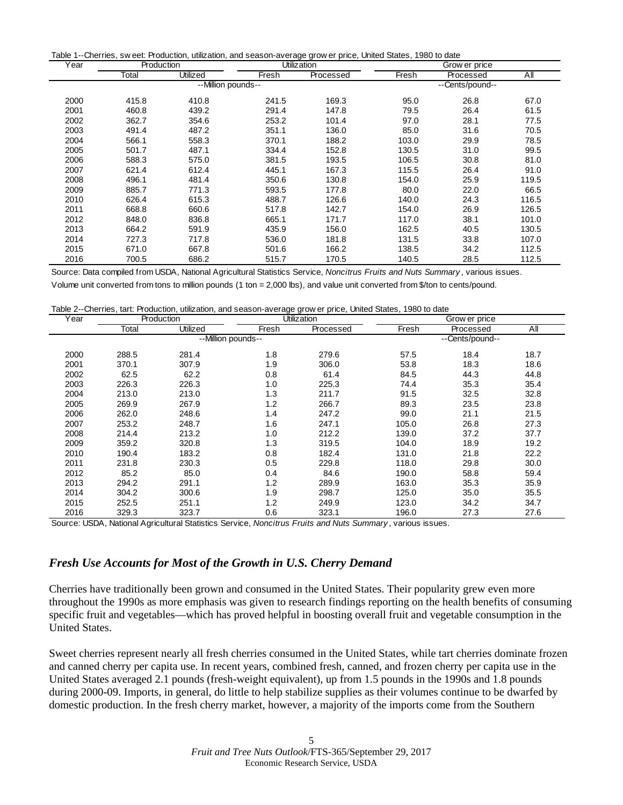Table 1--Cherries, sw eet: Production, utilization, and season-average grow er price, United States, 1980 to date

| Year | Production |                    | <b>Utilization</b> |           | Grow er price   |           |       |
|------|------------|--------------------|--------------------|-----------|-----------------|-----------|-------|
|      | Total      | Utilized           | Fresh              | Processed | Fresh           | Processed | All   |
|      |            | --Million pounds-- |                    |           | --Cents/pound-- |           |       |
| 2000 | 415.8      | 410.8              | 241.5              | 169.3     | 95.0            | 26.8      | 67.0  |
| 2001 | 460.8      | 439.2              | 291.4              | 147.8     | 79.5            | 26.4      | 61.5  |
| 2002 | 362.7      | 354.6              | 253.2              | 101.4     | 97.0            | 28.1      | 77.5  |
| 2003 | 491.4      | 487.2              | 351.1              | 136.0     | 85.0            | 31.6      | 70.5  |
| 2004 | 566.1      | 558.3              | 370.1              | 188.2     | 103.0           | 29.9      | 78.5  |
| 2005 | 501.7      | 487.1              | 334.4              | 152.8     | 130.5           | 31.0      | 99.5  |
| 2006 | 588.3      | 575.0              | 381.5              | 193.5     | 106.5           | 30.8      | 81.0  |
| 2007 | 621.4      | 612.4              | 445.1              | 167.3     | 115.5           | 26.4      | 91.0  |
| 2008 | 496.1      | 481.4              | 350.6              | 130.8     | 154.0           | 25.9      | 119.5 |
| 2009 | 885.7      | 771.3              | 593.5              | 177.8     | 80.0            | 22.0      | 66.5  |
| 2010 | 626.4      | 615.3              | 488.7              | 126.6     | 140.0           | 24.3      | 116.5 |
| 2011 | 668.8      | 660.6              | 517.8              | 142.7     | 154.0           | 26.9      | 126.5 |
| 2012 | 848.0      | 836.8              | 665.1              | 171.7     | 117.0           | 38.1      | 101.0 |
| 2013 | 664.2      | 591.9              | 435.9              | 156.0     | 162.5           | 40.5      | 130.5 |
| 2014 | 727.3      | 717.8              | 536.0              | 181.8     | 131.5           | 33.8      | 107.0 |
| 2015 | 671.0      | 667.8              | 501.6              | 166.2     | 138.5           | 34.2      | 112.5 |
| 2016 | 700.5      | 686.2              | 515.7              | 170.5     | 140.5           | 28.5      | 112.5 |

Source: Data compiled from USDA, National Agricultural Statistics Service, *Noncitrus Fruits and Nuts Summary* , various issues. Volume unit converted from tons to million pounds (1 ton = 2,000 lbs), and value unit converted from \$/ton to cents/pound.

|  |  |  |  | Table 2--Cherries, tart: Production, utilization, and season-average grow er price, United States, 1980 to date |  |  |  |
|--|--|--|--|-----------------------------------------------------------------------------------------------------------------|--|--|--|
|--|--|--|--|-----------------------------------------------------------------------------------------------------------------|--|--|--|

| Year |       | Production         | <b>Utilization</b> |           | Grow er price |                 |      |
|------|-------|--------------------|--------------------|-----------|---------------|-----------------|------|
|      | Total | Utilized           | Fresh              | Processed | Fresh         | Processed       | AII  |
|      |       | --Million pounds-- |                    |           |               | --Cents/pound-- |      |
| 2000 | 288.5 | 281.4              | 1.8                | 279.6     | 57.5          | 18.4            | 18.7 |
| 2001 | 370.1 | 307.9              | 1.9                | 306.0     | 53.8          | 18.3            | 18.6 |
| 2002 | 62.5  | 62.2               | 0.8                | 61.4      | 84.5          | 44.3            | 44.8 |
| 2003 | 226.3 | 226.3              | 1.0                | 225.3     | 74.4          | 35.3            | 35.4 |
| 2004 | 213.0 | 213.0              | 1.3                | 211.7     | 91.5          | 32.5            | 32.8 |
| 2005 | 269.9 | 267.9              | 1.2                | 266.7     | 89.3          | 23.5            | 23.8 |
| 2006 | 262.0 | 248.6              | 1.4                | 247.2     | 99.0          | 21.1            | 21.5 |
| 2007 | 253.2 | 248.7              | 1.6                | 247.1     | 105.0         | 26.8            | 27.3 |
| 2008 | 214.4 | 213.2              | 1.0                | 212.2     | 139.0         | 37.2            | 37.7 |
| 2009 | 359.2 | 320.8              | 1.3                | 319.5     | 104.0         | 18.9            | 19.2 |
| 2010 | 190.4 | 183.2              | 0.8                | 182.4     | 131.0         | 21.8            | 22.2 |
| 2011 | 231.8 | 230.3              | 0.5                | 229.8     | 118.0         | 29.8            | 30.0 |
| 2012 | 85.2  | 85.0               | 0.4                | 84.6      | 190.0         | 58.8            | 59.4 |
| 2013 | 294.2 | 291.1              | 1.2                | 289.9     | 163.0         | 35.3            | 35.9 |
| 2014 | 304.2 | 300.6              | 1.9                | 298.7     | 125.0         | 35.0            | 35.5 |
| 2015 | 252.5 | 251.1              | 1.2                | 249.9     | 123.0         | 34.2            | 34.7 |
| 2016 | 329.3 | 323.7              | 0.6                | 323.1     | 196.0         | 27.3            | 27.6 |

Source: USDA, National Agricultural Statistics Service, *Noncitrus Fruits and Nuts Summary* , various issues.

#### *Fresh Use Accounts for Most of the Growth in U.S. Cherry Demand*

Cherries have traditionally been grown and consumed in the United States. Their popularity grew even more throughout the 1990s as more emphasis was given to research findings reporting on the health benefits of consuming specific fruit and vegetables—which has proved helpful in boosting overall fruit and vegetable consumption in the United States.

Sweet cherries represent nearly all fresh cherries consumed in the United States, while tart cherries dominate frozen and canned cherry per capita use. In recent years, combined fresh, canned, and frozen cherry per capita use in the United States averaged 2.1 pounds (fresh-weight equivalent), up from 1.5 pounds in the 1990s and 1.8 pounds during 2000-09. Imports, in general, do little to help stabilize supplies as their volumes continue to be dwarfed by domestic production. In the fresh cherry market, however, a majority of the imports come from the Southern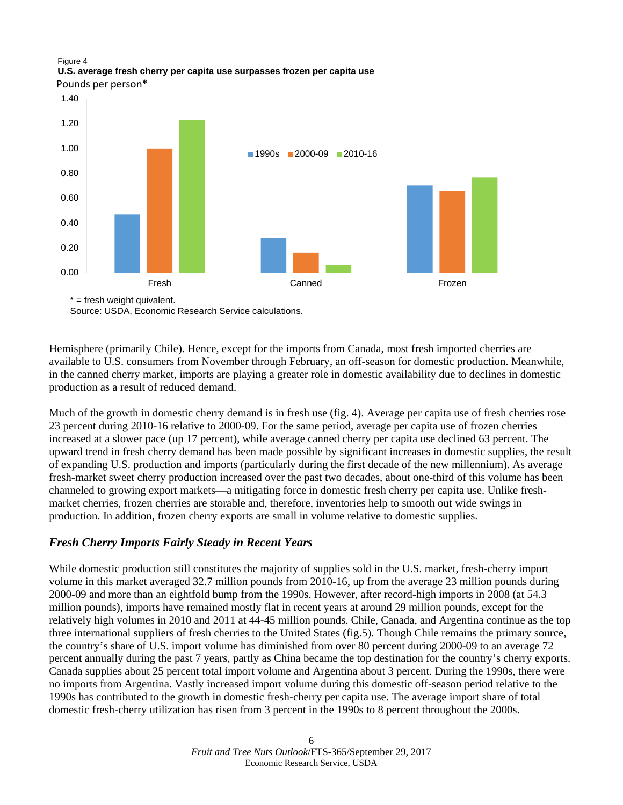## Figure 4 **U.S. average fresh cherry per capita use surpasses frozen per capita use**

Pounds per person\*



Source: USDA, Economic Research Service calculations.

Hemisphere (primarily Chile). Hence, except for the imports from Canada, most fresh imported cherries are available to U.S. consumers from November through February, an off-season for domestic production. Meanwhile, in the canned cherry market, imports are playing a greater role in domestic availability due to declines in domestic production as a result of reduced demand.

Much of the growth in domestic cherry demand is in fresh use (fig. 4). Average per capita use of fresh cherries rose 23 percent during 2010-16 relative to 2000-09. For the same period, average per capita use of frozen cherries increased at a slower pace (up 17 percent), while average canned cherry per capita use declined 63 percent. The upward trend in fresh cherry demand has been made possible by significant increases in domestic supplies, the result of expanding U.S. production and imports (particularly during the first decade of the new millennium). As average fresh-market sweet cherry production increased over the past two decades, about one-third of this volume has been channeled to growing export markets—a mitigating force in domestic fresh cherry per capita use. Unlike freshmarket cherries, frozen cherries are storable and, therefore, inventories help to smooth out wide swings in production. In addition, frozen cherry exports are small in volume relative to domestic supplies.

## *Fresh Cherry Imports Fairly Steady in Recent Years*

While domestic production still constitutes the majority of supplies sold in the U.S. market, fresh-cherry import volume in this market averaged 32.7 million pounds from 2010-16, up from the average 23 million pounds during 2000-09 and more than an eightfold bump from the 1990s. However, after record-high imports in 2008 (at 54.3 million pounds), imports have remained mostly flat in recent years at around 29 million pounds, except for the relatively high volumes in 2010 and 2011 at 44-45 million pounds. Chile, Canada, and Argentina continue as the top three international suppliers of fresh cherries to the United States (fig.5). Though Chile remains the primary source, the country's share of U.S. import volume has diminished from over 80 percent during 2000-09 to an average 72 percent annually during the past 7 years, partly as China became the top destination for the country's cherry exports. Canada supplies about 25 percent total import volume and Argentina about 3 percent. During the 1990s, there were no imports from Argentina. Vastly increased import volume during this domestic off-season period relative to the 1990s has contributed to the growth in domestic fresh-cherry per capita use. The average import share of total domestic fresh-cherry utilization has risen from 3 percent in the 1990s to 8 percent throughout the 2000s.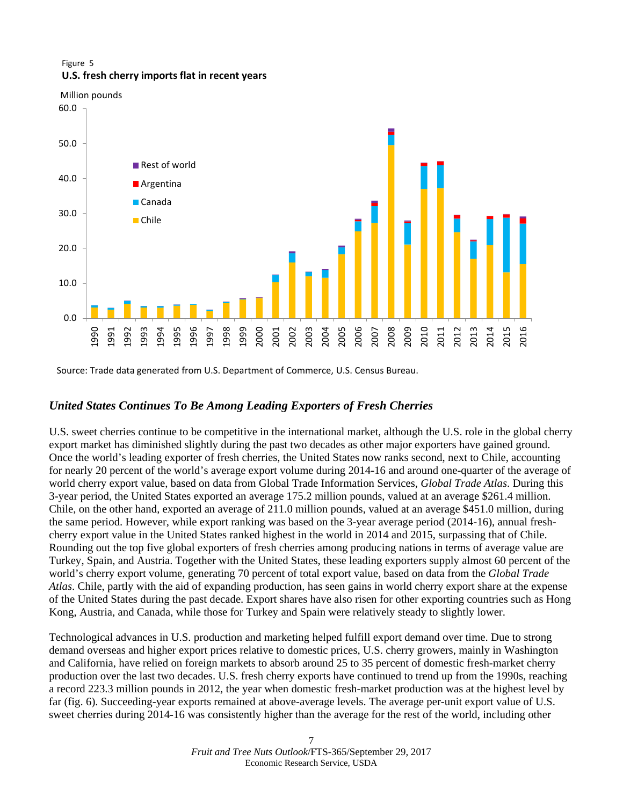#### Figure 5 **U.S. fresh cherry imports flat in recent years**

Million pounds



Source: Trade data generated from U.S. Department of Commerce, U.S. Census Bureau.

## *United States Continues To Be Among Leading Exporters of Fresh Cherries*

U.S. sweet cherries continue to be competitive in the international market, although the U.S. role in the global cherry export market has diminished slightly during the past two decades as other major exporters have gained ground. Once the world's leading exporter of fresh cherries, the United States now ranks second, next to Chile, accounting for nearly 20 percent of the world's average export volume during 2014-16 and around one-quarter of the average of world cherry export value, based on data from Global Trade Information Services, *Global Trade Atlas*. During this 3-year period, the United States exported an average 175.2 million pounds, valued at an average \$261.4 million. Chile, on the other hand, exported an average of 211.0 million pounds, valued at an average \$451.0 million, during the same period. However, while export ranking was based on the 3-year average period (2014-16), annual freshcherry export value in the United States ranked highest in the world in 2014 and 2015, surpassing that of Chile. Rounding out the top five global exporters of fresh cherries among producing nations in terms of average value are Turkey, Spain, and Austria. Together with the United States, these leading exporters supply almost 60 percent of the world's cherry export volume, generating 70 percent of total export value, based on data from the *Global Trade Atlas*. Chile, partly with the aid of expanding production, has seen gains in world cherry export share at the expense of the United States during the past decade. Export shares have also risen for other exporting countries such as Hong Kong, Austria, and Canada, while those for Turkey and Spain were relatively steady to slightly lower.

Technological advances in U.S. production and marketing helped fulfill export demand over time. Due to strong demand overseas and higher export prices relative to domestic prices, U.S. cherry growers, mainly in Washington and California, have relied on foreign markets to absorb around 25 to 35 percent of domestic fresh-market cherry production over the last two decades. U.S. fresh cherry exports have continued to trend up from the 1990s, reaching a record 223.3 million pounds in 2012, the year when domestic fresh-market production was at the highest level by far (fig. 6). Succeeding-year exports remained at above-average levels. The average per-unit export value of U.S. sweet cherries during 2014-16 was consistently higher than the average for the rest of the world, including other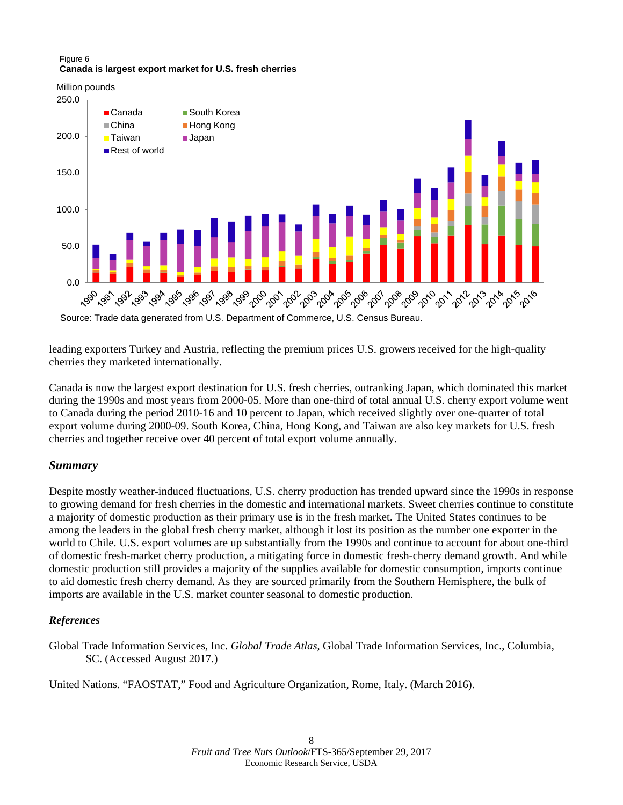#### Figure 6 **Canada is largest export market for U.S. fresh cherries**

Million pounds



Source: Trade data generated from U.S. Department of Commerce, U.S. Census Bureau.

leading exporters Turkey and Austria, reflecting the premium prices U.S. growers received for the high-quality cherries they marketed internationally.

Canada is now the largest export destination for U.S. fresh cherries, outranking Japan, which dominated this market during the 1990s and most years from 2000-05. More than one-third of total annual U.S. cherry export volume went to Canada during the period 2010-16 and 10 percent to Japan, which received slightly over one-quarter of total export volume during 2000-09. South Korea, China, Hong Kong, and Taiwan are also key markets for U.S. fresh cherries and together receive over 40 percent of total export volume annually.

## *Summary*

Despite mostly weather-induced fluctuations, U.S. cherry production has trended upward since the 1990s in response to growing demand for fresh cherries in the domestic and international markets. Sweet cherries continue to constitute a majority of domestic production as their primary use is in the fresh market. The United States continues to be among the leaders in the global fresh cherry market, although it lost its position as the number one exporter in the world to Chile. U.S. export volumes are up substantially from the 1990s and continue to account for about one-third of domestic fresh-market cherry production, a mitigating force in domestic fresh-cherry demand growth. And while domestic production still provides a majority of the supplies available for domestic consumption, imports continue to aid domestic fresh cherry demand. As they are sourced primarily from the Southern Hemisphere, the bulk of imports are available in the U.S. market counter seasonal to domestic production.

## *References*

Global Trade Information Services, Inc. *Global Trade Atlas*, Global Trade Information Services, Inc., Columbia, SC. (Accessed August 2017.)

United Nations. "FAOSTAT," Food and Agriculture Organization, Rome, Italy. (March 2016).